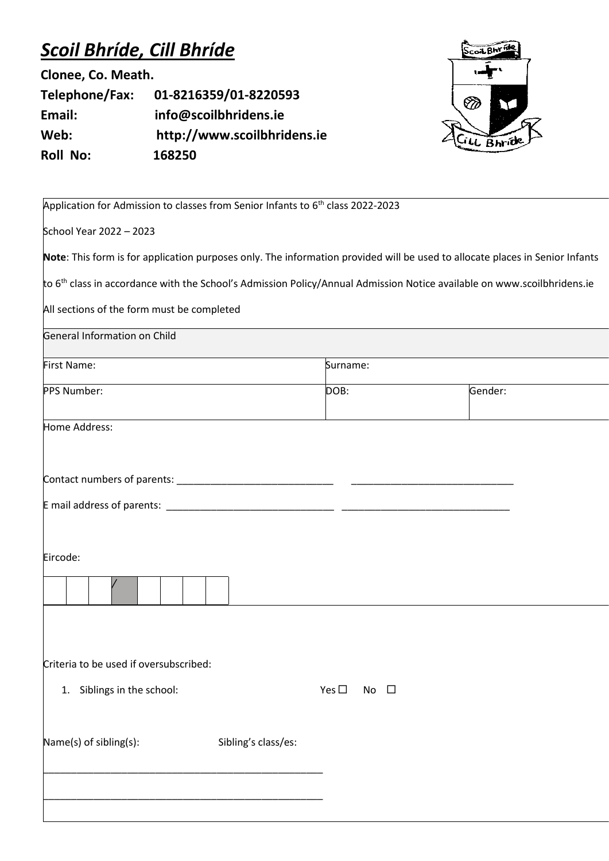## *Scoil Bhríde, Cill Bhríde*

**Clonee, Co. Meath.**

**Telephone/Fax: 01-8216359/01-8220593 Email: info@scoilbhridens.ie Web: http://www.scoilbhridens.ie Roll No: 168250**



| Application for Admission to classes from Senior Infants to 6 <sup>th</sup> class 2022-2023                                         |                               |         |  |
|-------------------------------------------------------------------------------------------------------------------------------------|-------------------------------|---------|--|
| School Year 2022 - 2023                                                                                                             |                               |         |  |
| Note: This form is for application purposes only. The information provided will be used to allocate places in Senior Infants        |                               |         |  |
| to 6 <sup>th</sup> class in accordance with the School's Admission Policy/Annual Admission Notice available on www.scoilbhridens.ie |                               |         |  |
| All sections of the form must be completed                                                                                          |                               |         |  |
| General Information on Child                                                                                                        |                               |         |  |
| First Name:                                                                                                                         | Surname:                      |         |  |
| PPS Number:                                                                                                                         | DOB:                          | Gender: |  |
| Home Address:                                                                                                                       |                               |         |  |
| Eircode:                                                                                                                            |                               |         |  |
| Criteria to be used if oversubscribed:<br>1. Siblings in the school:                                                                | Yes $\square$<br>$\Box$<br>No |         |  |
| Name(s) of sibling(s):<br>Sibling's class/es:                                                                                       |                               |         |  |
|                                                                                                                                     |                               |         |  |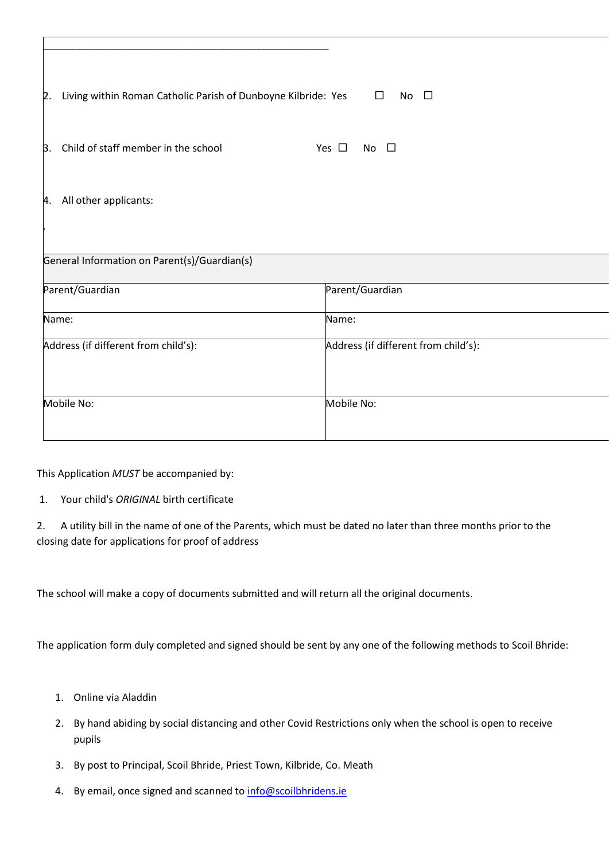| Living within Roman Catholic Parish of Dunboyne Kilbride: Yes<br>2. | $\Box$<br>No $\square$               |
|---------------------------------------------------------------------|--------------------------------------|
| Child of staff member in the school<br>3.                           | Yes $\square$<br>$\Box$<br>No.       |
| 4. All other applicants:                                            |                                      |
| General Information on Parent(s)/Guardian(s)                        |                                      |
| Parent/Guardian                                                     | Parent/Guardian                      |
| Name:                                                               | Name:                                |
| Address (if different from child's):                                | Address (if different from child's): |
| Mobile No:                                                          | Mobile No:                           |
|                                                                     |                                      |

This Application *MUST* be accompanied by:

1. Your child's *ORIGINAL* birth certificate

2. A utility bill in the name of one of the Parents, which must be dated no later than three months prior to the closing date for applications for proof of address

The school will make a copy of documents submitted and will return all the original documents.

The application form duly completed and signed should be sent by any one of the following methods to Scoil Bhride:

- 1. Online via Aladdin
- 2. By hand abiding by social distancing and other Covid Restrictions only when the school is open to receive pupils
- 3. By post to Principal, Scoil Bhride, Priest Town, Kilbride, Co. Meath
- 4. By email, once signed and scanned to [info@scoilbhridens.ie](mailto:info@scoilbhridens.ie)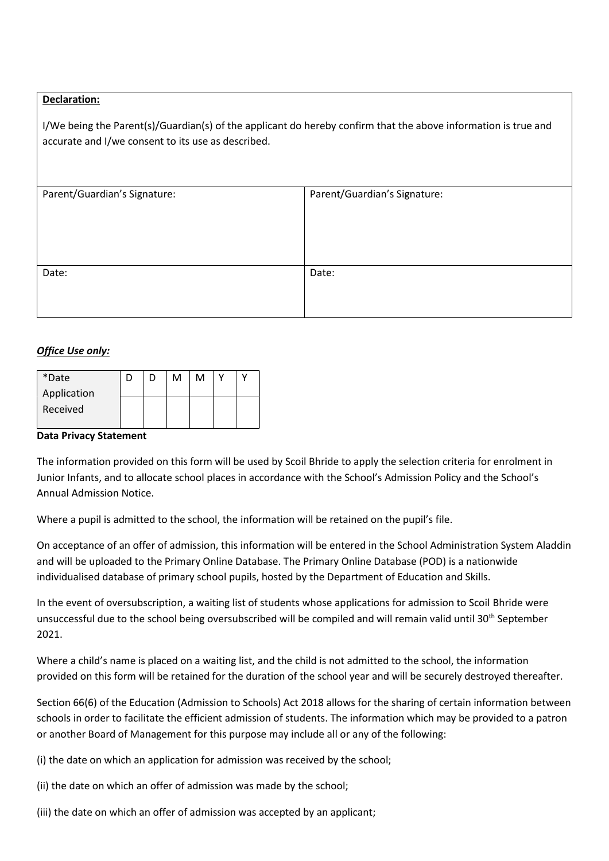## **Declaration:**

I/We being the Parent(s)/Guardian(s) of the applicant do hereby confirm that the above information is true and accurate and I/we consent to its use as described.

| Parent/Guardian's Signature: | Parent/Guardian's Signature: |  |
|------------------------------|------------------------------|--|
|                              |                              |  |
| Date:                        | Date:                        |  |

## *Office Use only:*

| *Date       |  | м | м |  |
|-------------|--|---|---|--|
| Application |  |   |   |  |
| Received    |  |   |   |  |

## **Data Privacy Statement**

The information provided on this form will be used by Scoil Bhride to apply the selection criteria for enrolment in Junior Infants, and to allocate school places in accordance with the School's Admission Policy and the School's Annual Admission Notice.

Where a pupil is admitted to the school, the information will be retained on the pupil's file.

On acceptance of an offer of admission, this information will be entered in the School Administration System Aladdin and will be uploaded to the Primary Online Database. The Primary Online Database (POD) is a nationwide individualised database of primary school pupils, hosted by the Department of Education and Skills.

In the event of oversubscription, a waiting list of students whose applications for admission to Scoil Bhride were unsuccessful due to the school being oversubscribed will be compiled and will remain valid until 30<sup>th</sup> September 2021.

Where a child's name is placed on a waiting list, and the child is not admitted to the school, the information provided on this form will be retained for the duration of the school year and will be securely destroyed thereafter.

Section 66(6) of the Education (Admission to Schools) Act 2018 allows for the sharing of certain information between schools in order to facilitate the efficient admission of students. The information which may be provided to a patron or another Board of Management for this purpose may include all or any of the following:

(i) the date on which an application for admission was received by the school;

(ii) the date on which an offer of admission was made by the school;

(iii) the date on which an offer of admission was accepted by an applicant;